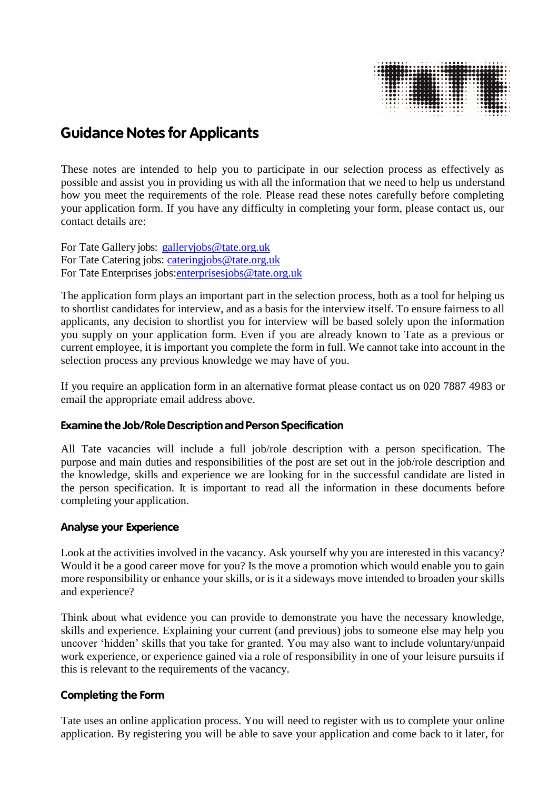|  |  |  |  |  |  |  |                |  |  |  |  |  |  |  |  | <b></b>                                                                                                                                                                                                                                                    |  |
|--|--|--|--|--|--|--|----------------|--|--|--|--|--|--|--|--|------------------------------------------------------------------------------------------------------------------------------------------------------------------------------------------------------------------------------------------------------------|--|
|  |  |  |  |  |  |  |                |  |  |  |  |  |  |  |  |                                                                                                                                                                                                                                                            |  |
|  |  |  |  |  |  |  |                |  |  |  |  |  |  |  |  |                                                                                                                                                                                                                                                            |  |
|  |  |  |  |  |  |  |                |  |  |  |  |  |  |  |  |                                                                                                                                                                                                                                                            |  |
|  |  |  |  |  |  |  |                |  |  |  |  |  |  |  |  |                                                                                                                                                                                                                                                            |  |
|  |  |  |  |  |  |  |                |  |  |  |  |  |  |  |  | $\cdots \bullet \bullet \bullet \bullet \cdot \cdot \cdot \bullet \bullet \bullet \bullet \bullet \bullet \bullet \cdot \cdot \cdot \bullet \bullet \bullet \bullet \cdot \cdot \cdot \bullet \bullet \bullet \bullet \bullet \bullet \bullet \cdot \cdot$ |  |
|  |  |  |  |  |  |  |                |  |  |  |  |  |  |  |  |                                                                                                                                                                                                                                                            |  |
|  |  |  |  |  |  |  |                |  |  |  |  |  |  |  |  |                                                                                                                                                                                                                                                            |  |
|  |  |  |  |  |  |  |                |  |  |  |  |  |  |  |  |                                                                                                                                                                                                                                                            |  |
|  |  |  |  |  |  |  |                |  |  |  |  |  |  |  |  | . 0.000000                                                                                                                                                                                                                                                 |  |
|  |  |  |  |  |  |  |                |  |  |  |  |  |  |  |  |                                                                                                                                                                                                                                                            |  |
|  |  |  |  |  |  |  |                |  |  |  |  |  |  |  |  | $\cdot$                                                                                                                                                                                                                                                    |  |
|  |  |  |  |  |  |  | . <b>. . .</b> |  |  |  |  |  |  |  |  | .                                                                                                                                                                                                                                                          |  |
|  |  |  |  |  |  |  |                |  |  |  |  |  |  |  |  |                                                                                                                                                                                                                                                            |  |

# **Guidance Notes for Applicants**

These notes are intended to help you to participate in our selection process as effectively as possible and assist you in providing us with all the information that we need to help us understand how you meet the requirements of the role. Please read these notes carefully before completing your application form. If you have any difficulty in completing your form, please contact us, our contact details are:

For Tate Gallery jobs: [galleryjobs@tate.org.uk](mailto:galleryjobs@tate.org.uk) For Tate Catering jobs: catering jobs@tate.org.uk For Tate Enterprises jobs[:enterprisesjobs@tate.org.uk](mailto:enterprisesjobs@tate.org.uk)

The application form plays an important part in the selection process, both as a tool for helping us to shortlist candidates for interview, and as a basis for the interview itself. To ensure fairness to all applicants, any decision to shortlist you for interview will be based solely upon the information you supply on your application form. Even if you are already known to Tate as a previous or current employee, it is important you complete the form in full. We cannot take into account in the selection process any previous knowledge we may have of you.

If you require an application form in an alternative format please contact us on 020 7887 4983 or email the appropriate email address above.

## **Examine the Job/RoleDescription and Person Specification**

All Tate vacancies will include a full job/role description with a person specification. The purpose and main duties and responsibilities of the post are set out in the job/role description and the knowledge, skills and experience we are looking for in the successful candidate are listed in the person specification. It is important to read all the information in these documents before completing your application.

#### **Analyse your Experience**

Look at the activities involved in the vacancy. Ask yourself why you are interested in this vacancy? Would it be a good career move for you? Is the move a promotion which would enable you to gain more responsibility or enhance your skills, or is it a sideways move intended to broaden your skills and experience?

Think about what evidence you can provide to demonstrate you have the necessary knowledge, skills and experience. Explaining your current (and previous) jobs to someone else may help you uncover 'hidden' skills that you take for granted. You may also want to include voluntary/unpaid work experience, or experience gained via a role of responsibility in one of your leisure pursuits if this is relevant to the requirements of the vacancy.

## **Completing the Form**

Tate uses an online application process. You will need to register with us to complete your online application. By registering you will be able to save your application and come back to it later, for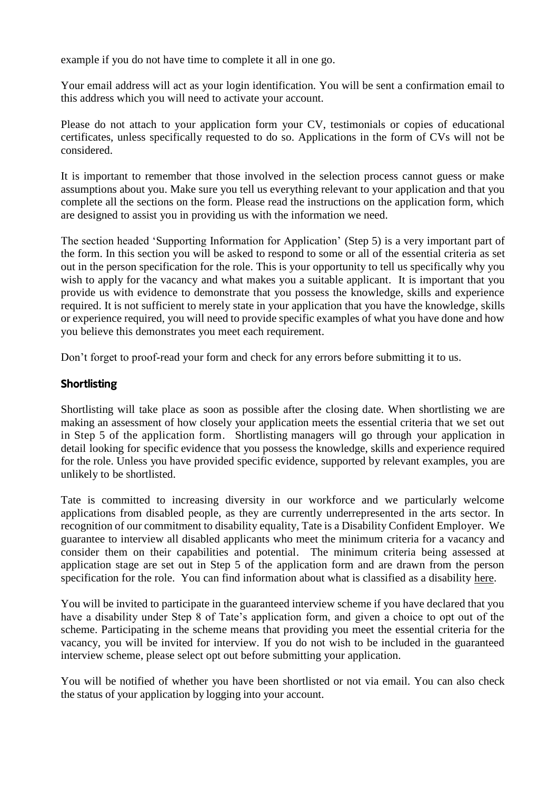example if you do not have time to complete it all in one go.

Your email address will act as your login identification. You will be sent a confirmation email to this address which you will need to activate your account.

Please do not attach to your application form your CV, testimonials or copies of educational certificates, unless specifically requested to do so. Applications in the form of CVs will not be considered.

It is important to remember that those involved in the selection process cannot guess or make assumptions about you. Make sure you tell us everything relevant to your application and that you complete all the sections on the form. Please read the instructions on the application form, which are designed to assist you in providing us with the information we need.

The section headed 'Supporting Information for Application' (Step 5) is a very important part of the form. In this section you will be asked to respond to some or all of the essential criteria as set out in the person specification for the role. This is your opportunity to tell us specifically why you wish to apply for the vacancy and what makes you a suitable applicant. It is important that you provide us with evidence to demonstrate that you possess the knowledge, skills and experience required. It is not sufficient to merely state in your application that you have the knowledge, skills or experience required, you will need to provide specific examples of what you have done and how you believe this demonstrates you meet each requirement.

Don't forget to proof-read your form and check for any errors before submitting it to us.

## **Shortlisting**

Shortlisting will take place as soon as possible after the closing date. When shortlisting we are making an assessment of how closely your application meets the essential criteria that we set out in Step 5 of the application form. Shortlisting managers will go through your application in detail looking for specific evidence that you possess the knowledge, skills and experience required for the role. Unless you have provided specific evidence, supported by relevant examples, you are unlikely to be shortlisted.

Tate is committed to increasing diversity in our workforce and we particularly welcome applications from disabled people, as they are currently underrepresented in the arts sector. In recognition of our commitment to disability equality, Tate is a Disability Confident Employer. We guarantee to interview all disabled applicants who meet the minimum criteria for a vacancy and consider them on their capabilities and potential. The minimum criteria being assessed at application stage are set out in Step 5 of the application form and are drawn from the person specification for the role. You can find information about what is classified as a disability [here.](https://www.gov.uk/definition-of-disability-under-equality-act-2010)

You will be invited to participate in the guaranteed interview scheme if you have declared that you have a disability under Step 8 of Tate's application form, and given a choice to opt out of the scheme. Participating in the scheme means that providing you meet the essential criteria for the vacancy, you will be invited for interview. If you do not wish to be included in the guaranteed interview scheme, please select opt out before submitting your application.

You will be notified of whether you have been shortlisted or not via email. You can also check the status of your application by logging into your account.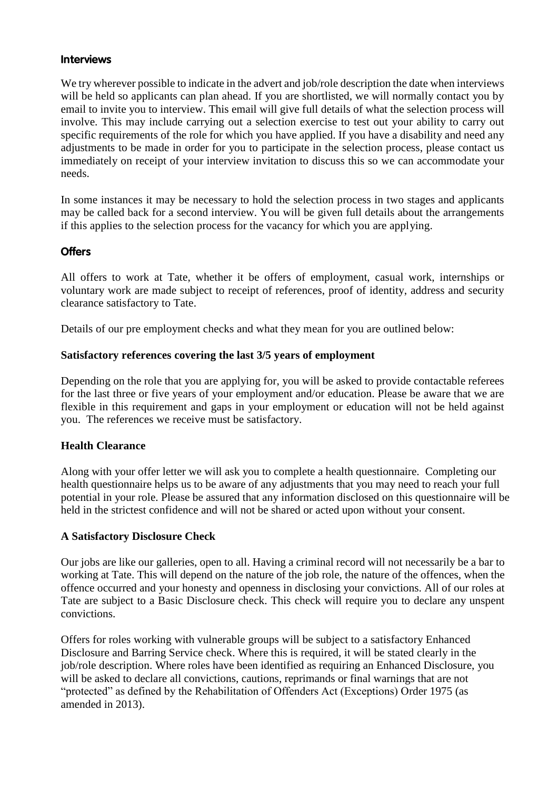#### **Interviews**

We try wherever possible to indicate in the advert and job/role description the date when interviews will be held so applicants can plan ahead. If you are shortlisted, we will normally contact you by email to invite you to interview. This email will give full details of what the selection process will involve. This may include carrying out a selection exercise to test out your ability to carry out specific requirements of the role for which you have applied. If you have a disability and need any adjustments to be made in order for you to participate in the selection process, please contact us immediately on receipt of your interview invitation to discuss this so we can accommodate your needs.

In some instances it may be necessary to hold the selection process in two stages and applicants may be called back for a second interview. You will be given full details about the arrangements if this applies to the selection process for the vacancy for which you are applying.

## **Offers**

All offers to work at Tate, whether it be offers of employment, casual work, internships or voluntary work are made subject to receipt of references, proof of identity, address and security clearance satisfactory to Tate.

Details of our pre employment checks and what they mean for you are outlined below:

#### **Satisfactory references covering the last 3/5 years of employment**

Depending on the role that you are applying for, you will be asked to provide contactable referees for the last three or five years of your employment and/or education. Please be aware that we are flexible in this requirement and gaps in your employment or education will not be held against you. The references we receive must be satisfactory.

#### **Health Clearance**

Along with your offer letter we will ask you to complete a health questionnaire. Completing our health questionnaire helps us to be aware of any adjustments that you may need to reach your full potential in your role. Please be assured that any information disclosed on this questionnaire will be held in the strictest confidence and will not be shared or acted upon without your consent.

#### **A Satisfactory Disclosure Check**

Our jobs are like our galleries, open to all. Having a criminal record will not necessarily be a bar to working at Tate. This will depend on the nature of the job role, the nature of the offences, when the offence occurred and your honesty and openness in disclosing your convictions. All of our roles at Tate are subject to a Basic Disclosure check. This check will require you to declare any unspent convictions.

Offers for roles working with vulnerable groups will be subject to a satisfactory Enhanced Disclosure and Barring Service check. Where this is required, it will be stated clearly in the job/role description. Where roles have been identified as requiring an Enhanced Disclosure, you will be asked to declare all convictions, cautions, reprimands or final warnings that are not "protected" as defined by the Rehabilitation of Offenders Act (Exceptions) Order 1975 (as amended in 2013).